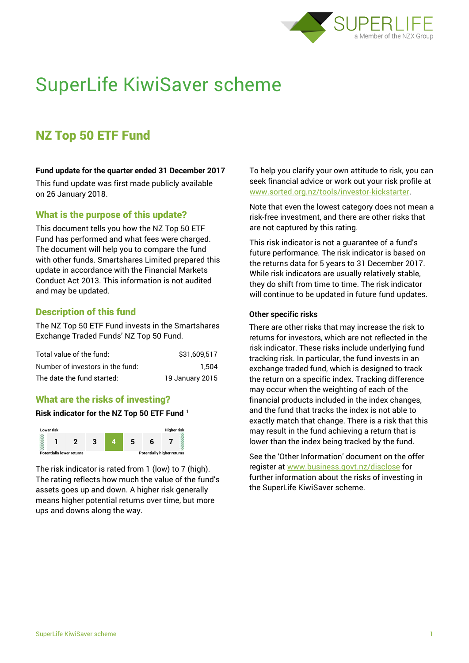

# SuperLife KiwiSaver scheme

# NZ Top 50 ETF Fund

#### **Fund update for the quarter ended 31 December 2017**

This fund update was first made publicly available on 26 January 2018.

# What is the purpose of this update?

This document tells you how the NZ Top 50 ETF Fund has performed and what fees were charged. The document will help you to compare the fund with other funds. Smartshares Limited prepared this update in accordance with the Financial Markets Conduct Act 2013. This information is not audited and may be updated.

# Description of this fund

The NZ Top 50 ETF Fund invests in the Smartshares Exchange Traded Funds' NZ Top 50 Fund.

| Total value of the fund:         | \$31,609,517    |
|----------------------------------|-----------------|
| Number of investors in the fund: | 1.504           |
| The date the fund started:       | 19 January 2015 |

# What are the risks of investing?

#### **Risk indicator for the NZ Top 50 ETF Fund <sup>1</sup>**



The risk indicator is rated from 1 (low) to 7 (high). The rating reflects how much the value of the fund's assets goes up and down. A higher risk generally means higher potential returns over time, but more ups and downs along the way.

To help you clarify your own attitude to risk, you can seek financial advice or work out your risk profile at [www.sorted.org.nz/tools/investor-kickstarter.](http://www.sorted.org.nz/tools/investor-kickstarter)

Note that even the lowest category does not mean a risk-free investment, and there are other risks that are not captured by this rating.

This risk indicator is not a guarantee of a fund's future performance. The risk indicator is based on the returns data for 5 years to 31 December 2017. While risk indicators are usually relatively stable, they do shift from time to time. The risk indicator will continue to be updated in future fund updates.

#### **Other specific risks**

There are other risks that may increase the risk to returns for investors, which are not reflected in the risk indicator. These risks include underlying fund tracking risk. In particular, the fund invests in an exchange traded fund, which is designed to track the return on a specific index. Tracking difference may occur when the weighting of each of the financial products included in the index changes, and the fund that tracks the index is not able to exactly match that change. There is a risk that this may result in the fund achieving a return that is lower than the index being tracked by the fund.

See the 'Other Information' document on the offer register at www.business.govt.nz/disclose for further information about the risks of investing in the SuperLife KiwiSaver scheme.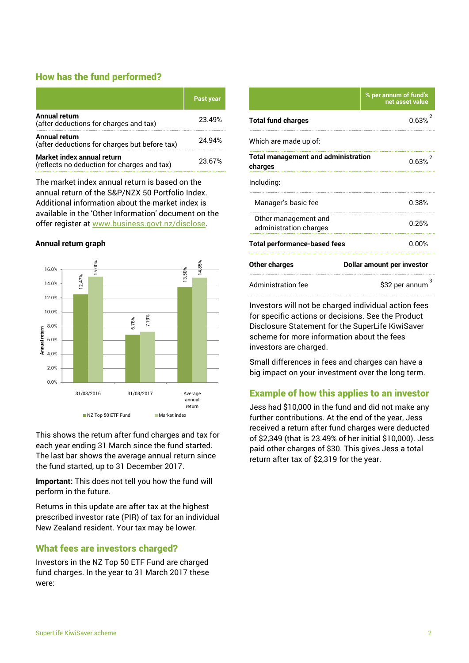# How has the fund performed?

|                                                                           | <b>Past year</b> |
|---------------------------------------------------------------------------|------------------|
| Annual return<br>(after deductions for charges and tax)                   | 23.49%           |
| <b>Annual return</b><br>(after deductions for charges but before tax)     | 24.94%           |
| Market index annual return<br>(reflects no deduction for charges and tax) | 23.67%           |

The market index annual return is based on the annual return of the S&P/NZX 50 Portfolio Index. Additional information about the market index is available in the 'Other Information' document on the offer register at www.business.govt.nz/disclose.

#### **Annual return graph**



This shows the return after fund charges and tax for each year ending 31 March since the fund started. The last bar shows the average annual return since the fund started, up to 31 December 2017.

**Important:** This does not tell you how the fund will perform in the future.

Returns in this update are after tax at the highest prescribed investor rate (PIR) of tax for an individual New Zealand resident. Your tax may be lower.

# What fees are investors charged?

Investors in the NZ Top 50 ETF Fund are charged fund charges. In the year to 31 March 2017 these were:

|                                                       | % per annum of fund's<br>net asset value |
|-------------------------------------------------------|------------------------------------------|
| <b>Total fund charges</b>                             | 0.63%                                    |
| Which are made up of:                                 |                                          |
| <b>Total management and administration</b><br>charges | 0.63%                                    |
| Including:                                            |                                          |
| Manager's basic fee                                   | 0.38%                                    |
| Other management and<br>administration charges        | 0.25%                                    |
| <b>Total performance-based fees</b>                   | 0.00%                                    |
| <b>Other charges</b>                                  | Dollar amount per investor               |
| <b>Administration fee</b>                             | з<br>\$32 per annum                      |
|                                                       |                                          |

Investors will not be charged individual action fees for specific actions or decisions. See the Product Disclosure Statement for the SuperLife KiwiSaver scheme for more information about the fees investors are charged.

Small differences in fees and charges can have a big impact on your investment over the long term.

# Example of how this applies to an investor

Jess had \$10,000 in the fund and did not make any further contributions. At the end of the year, Jess received a return after fund charges were deducted of \$2,349 (that is 23.49% of her initial \$10,000). Jess paid other charges of \$30. This gives Jess a total return after tax of \$2,319 for the year.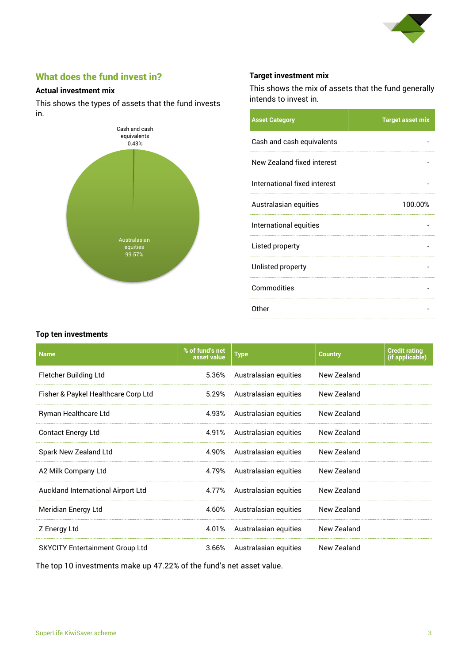

# What does the fund invest in?

#### **Actual investment mix**

This shows the types of assets that the fund invests in.



# **Target investment mix**

This shows the mix of assets that the fund generally intends to invest in.

| <b>Asset Category</b>        | <b>Target asset mix</b> |
|------------------------------|-------------------------|
| Cash and cash equivalents    |                         |
| New Zealand fixed interest   |                         |
| International fixed interest |                         |
| Australasian equities        | 100.00%                 |
| International equities       |                         |
| Listed property              |                         |
| Unlisted property            |                         |
| Commodities                  |                         |
| Other                        |                         |

#### **Top ten investments**

| <b>Name</b>                            | % of fund's net<br>asset value | <b>Type</b>           | <b>Country</b> | <b>Credit rating</b><br>(if applicable) |
|----------------------------------------|--------------------------------|-----------------------|----------------|-----------------------------------------|
| Fletcher Building Ltd                  | 5.36%                          | Australasian equities | New Zealand    |                                         |
| Fisher & Paykel Healthcare Corp Ltd    | 5.29%                          | Australasian equities | New Zealand    |                                         |
| Ryman Healthcare Ltd                   | 4.93%                          | Australasian equities | New Zealand    |                                         |
| <b>Contact Energy Ltd</b>              | 4.91%                          | Australasian equities | New Zealand    |                                         |
| Spark New Zealand Ltd                  | 4.90%                          | Australasian equities | New Zealand    |                                         |
| A2 Milk Company Ltd                    | 4.79%                          | Australasian equities | New Zealand    |                                         |
| Auckland International Airport Ltd     | 4.77%                          | Australasian equities | New Zealand    |                                         |
| Meridian Energy Ltd                    | 4.60%                          | Australasian equities | New Zealand    |                                         |
| Z Energy Ltd                           | 4.01%                          | Australasian equities | New Zealand    |                                         |
| <b>SKYCITY Entertainment Group Ltd</b> | 3.66%                          | Australasian equities | New Zealand    |                                         |

The top 10 investments make up 47.22% of the fund's net asset value.